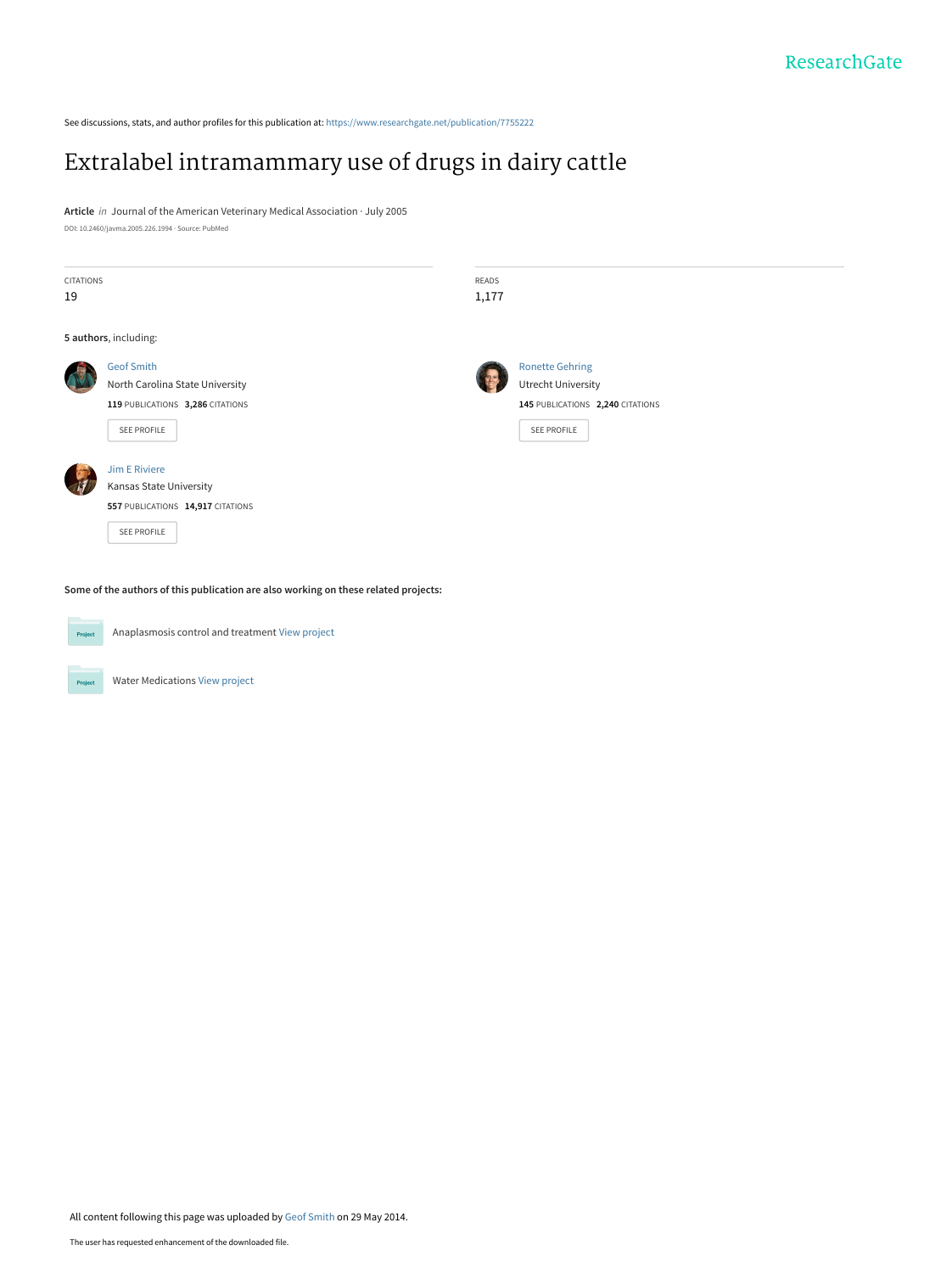See discussions, stats, and author profiles for this publication at: [https://www.researchgate.net/publication/7755222](https://www.researchgate.net/publication/7755222_Extralabel_intramammary_use_of_drugs_in_dairy_cattle?enrichId=rgreq-3bb050bc185ab7f542da897a7fa5db9d-XXX&enrichSource=Y292ZXJQYWdlOzc3NTUyMjI7QVM6MTAyMDg5NTM5NzE5MTcxQDE0MDEzNTE0NTExODM%3D&el=1_x_2&_esc=publicationCoverPdf)

## [Extralabel intramammary use of drugs in dairy cattle](https://www.researchgate.net/publication/7755222_Extralabel_intramammary_use_of_drugs_in_dairy_cattle?enrichId=rgreq-3bb050bc185ab7f542da897a7fa5db9d-XXX&enrichSource=Y292ZXJQYWdlOzc3NTUyMjI7QVM6MTAyMDg5NTM5NzE5MTcxQDE0MDEzNTE0NTExODM%3D&el=1_x_3&_esc=publicationCoverPdf)

**Article** in Journal of the American Veterinary Medical Association · July 2005 DOI: 10.2460/javma.2005.226.1994 · Source: PubMed

| <b>CITATIONS</b><br>19 |                                                                                     | <b>READS</b><br>1,177 |                                  |  |  |  |
|------------------------|-------------------------------------------------------------------------------------|-----------------------|----------------------------------|--|--|--|
|                        | 5 authors, including:                                                               |                       |                                  |  |  |  |
|                        | <b>Geof Smith</b>                                                                   |                       | <b>Ronette Gehring</b>           |  |  |  |
|                        | North Carolina State University                                                     |                       | <b>Utrecht University</b>        |  |  |  |
|                        | 119 PUBLICATIONS 3,286 CITATIONS                                                    |                       | 145 PUBLICATIONS 2,240 CITATIONS |  |  |  |
|                        | SEE PROFILE                                                                         |                       | <b>SEE PROFILE</b>               |  |  |  |
|                        | <b>Jim E Riviere</b>                                                                |                       |                                  |  |  |  |
|                        | Kansas State University                                                             |                       |                                  |  |  |  |
|                        | 557 PUBLICATIONS 14,917 CITATIONS                                                   |                       |                                  |  |  |  |
|                        | SEE PROFILE                                                                         |                       |                                  |  |  |  |
|                        |                                                                                     |                       |                                  |  |  |  |
|                        | Some of the authors of this publication are also working on these related projects: |                       |                                  |  |  |  |

**Some of the authors of this publication are also working on these related projects:**



Anaplasmosis control and treatment [View project](https://www.researchgate.net/project/Anaplasmosis-control-and-treatment?enrichId=rgreq-3bb050bc185ab7f542da897a7fa5db9d-XXX&enrichSource=Y292ZXJQYWdlOzc3NTUyMjI7QVM6MTAyMDg5NTM5NzE5MTcxQDE0MDEzNTE0NTExODM%3D&el=1_x_9&_esc=publicationCoverPdf)

Water Medications [View project](https://www.researchgate.net/project/Water-Medications?enrichId=rgreq-3bb050bc185ab7f542da897a7fa5db9d-XXX&enrichSource=Y292ZXJQYWdlOzc3NTUyMjI7QVM6MTAyMDg5NTM5NzE5MTcxQDE0MDEzNTE0NTExODM%3D&el=1_x_9&_esc=publicationCoverPdf)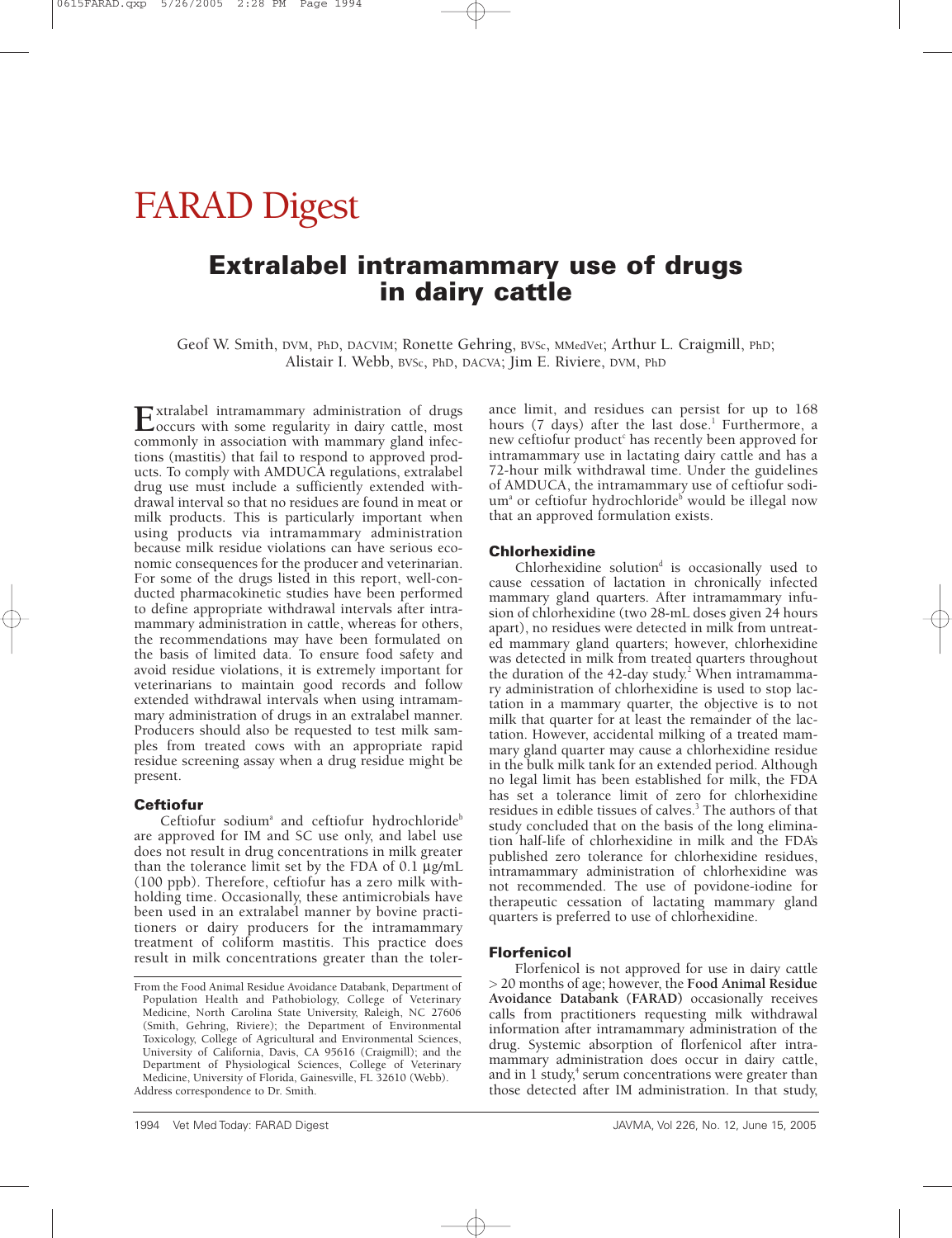# FARAD Digest

### **Extralabel intramammary use of drugs in dairy cattle**

Geof W. Smith, DVM, PhD, DACVIM; Ronette Gehring, BVSc, MMedVet; Arthur L. Craigmill, PhD; Alistair I. Webb, BVSc, PhD, DACVA; Jim E. Riviere, DVM, PhD

Extralabel intramammary administration of drugs<br>
occurs with some regularity in dairy cattle, most<br>
<u>occurs</u> with many cattle, and infect commonly in association with mammary gland infections (mastitis) that fail to respond to approved products. To comply with AMDUCA regulations, extralabel drug use must include a sufficiently extended withdrawal interval so that no residues are found in meat or milk products. This is particularly important when using products via intramammary administration because milk residue violations can have serious economic consequences for the producer and veterinarian. For some of the drugs listed in this report, well-conducted pharmacokinetic studies have been performed to define appropriate withdrawal intervals after intramammary administration in cattle, whereas for others, the recommendations may have been formulated on the basis of limited data. To ensure food safety and avoid residue violations, it is extremely important for veterinarians to maintain good records and follow extended withdrawal intervals when using intramammary administration of drugs in an extralabel manner. Producers should also be requested to test milk samples from treated cows with an appropriate rapid residue screening assay when a drug residue might be present.

#### **Ceftiofur**

Ceftiofur sodium<sup>a</sup> and ceftiofur hydrochloride<sup>b</sup> are approved for IM and SC use only, and label use does not result in drug concentrations in milk greater than the tolerance limit set by the FDA of 0.1 µg/mL (100 ppb). Therefore, ceftiofur has a zero milk withholding time. Occasionally, these antimicrobials have been used in an extralabel manner by bovine practitioners or dairy producers for the intramammary treatment of coliform mastitis. This practice does result in milk concentrations greater than the tolerance limit, and residues can persist for up to 168 hours (7 days) after the last dose.<sup>1</sup> Furthermore, a new ceftiofur product<sup>c</sup> has recently been approved for intramammary use in lactating dairy cattle and has a 72-hour milk withdrawal time. Under the guidelines of AMDUCA, the intramammary use of ceftiofur sodium<sup>a</sup> or ceftiofur hydrochloride<sup>b</sup> would be illegal now that an approved formulation exists.

#### **Chlorhexidine**

Chlorhexidine solution $d$  is occasionally used to cause cessation of lactation in chronically infected mammary gland quarters. After intramammary infusion of chlorhexidine (two 28-mL doses given 24 hours apart), no residues were detected in milk from untreated mammary gland quarters; however, chlorhexidine was detected in milk from treated quarters throughout the duration of the 42-day study.<sup>2</sup> When intramammary administration of chlorhexidine is used to stop lactation in a mammary quarter, the objective is to not milk that quarter for at least the remainder of the lactation. However, accidental milking of a treated mammary gland quarter may cause a chlorhexidine residue in the bulk milk tank for an extended period. Although no legal limit has been established for milk, the FDA has set a tolerance limit of zero for chlorhexidine residues in edible tissues of calves.<sup>3</sup> The authors of that study concluded that on the basis of the long elimination half-life of chlorhexidine in milk and the FDA's published zero tolerance for chlorhexidine residues, intramammary administration of chlorhexidine was not recommended. The use of povidone-iodine for therapeutic cessation of lactating mammary gland quarters is preferred to use of chlorhexidine.

#### **Florfenicol**

Florfenicol is not approved for use in dairy cattle > 20 months of age; however, the **Food Animal Residue Avoidance Databank (FARAD)** occasionally receives calls from practitioners requesting milk withdrawal information after intramammary administration of the drug. Systemic absorption of florfenicol after intramammary administration does occur in dairy cattle, and in  $1$  study, $4$  serum concentrations were greater than those detected after IM administration. In that study,

From the Food Animal Residue Avoidance Databank, Department of Population Health and Pathobiology, College of Veterinary Medicine, North Carolina State University, Raleigh, NC 27606 (Smith, Gehring, Riviere); the Department of Environmental Toxicology, College of Agricultural and Environmental Sciences, University of California, Davis, CA 95616 (Craigmill); and the Department of Physiological Sciences, College of Veterinary Medicine, University of Florida, Gainesville, FL 32610 (Webb). Address correspondence to Dr. Smith.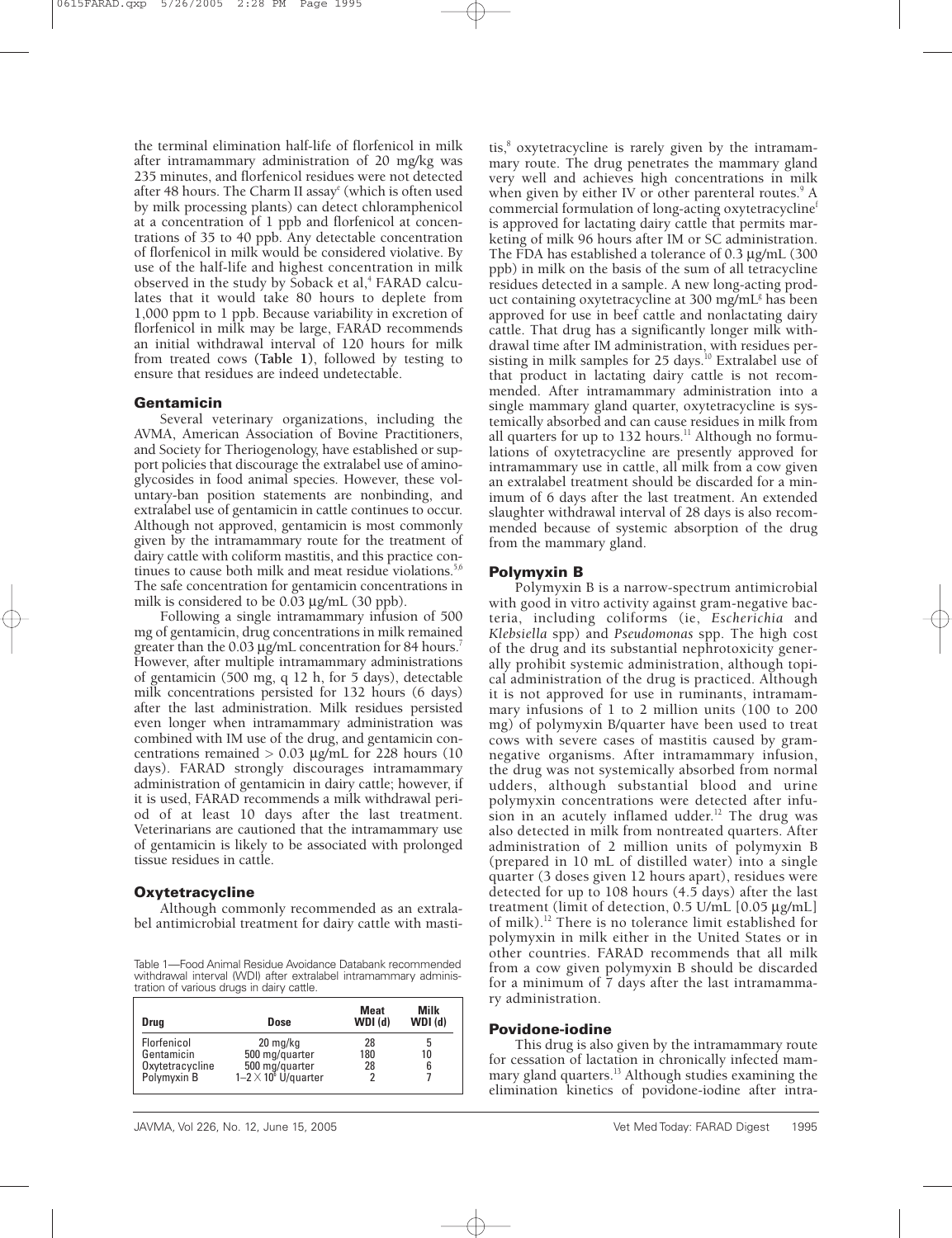the terminal elimination half-life of florfenicol in milk after intramammary administration of 20 mg/kg was 235 minutes, and florfenicol residues were not detected after 48 hours. The Charm II assay<sup>e</sup> (which is often used by milk processing plants) can detect chloramphenicol at a concentration of 1 ppb and florfenicol at concentrations of 35 to 40 ppb. Any detectable concentration of florfenicol in milk would be considered violative. By use of the half-life and highest concentration in milk observed in the study by Soback et al,<sup>4</sup> FARAD calculates that it would take 80 hours to deplete from 1,000 ppm to 1 ppb. Because variability in excretion of florfenicol in milk may be large, FARAD recommends an initial withdrawal interval of 120 hours for milk from treated cows **(Table 1)**, followed by testing to ensure that residues are indeed undetectable.

#### **Gentamicin**

Several veterinary organizations, including the AVMA, American Association of Bovine Practitioners, and Society for Theriogenology, have established or support policies that discourage the extralabel use of aminoglycosides in food animal species. However, these voluntary-ban position statements are nonbinding, and extralabel use of gentamicin in cattle continues to occur. Although not approved, gentamicin is most commonly given by the intramammary route for the treatment of dairy cattle with coliform mastitis, and this practice continues to cause both milk and meat residue violations. $5,6$ The safe concentration for gentamicin concentrations in milk is considered to be 0.03 µg/mL (30 ppb).

Following a single intramammary infusion of 500 mg of gentamicin, drug concentrations in milk remained greater than the 0.03 µg/mL concentration for 84 hours.<sup>7</sup> However, after multiple intramammary administrations of gentamicin (500 mg, q 12 h, for 5 days), detectable milk concentrations persisted for 132 hours (6 days) after the last administration. Milk residues persisted even longer when intramammary administration was combined with IM use of the drug, and gentamicin concentrations remained  $> 0.03$  µg/mL for 228 hours (10 days). FARAD strongly discourages intramammary administration of gentamicin in dairy cattle; however, if it is used, FARAD recommends a milk withdrawal period of at least 10 days after the last treatment. Veterinarians are cautioned that the intramammary use of gentamicin is likely to be associated with prolonged tissue residues in cattle.

#### **Oxytetracycline**

Although commonly recommended as an extralabel antimicrobial treatment for dairy cattle with masti-

Table 1—Food Animal Residue Avoidance Databank recommended withdrawal interval (WDI) after extralabel intramammary administration of various drugs in dairy cattle.

| <b>Drug</b>     | Dose                                         | <b>Meat</b><br>WDI(d) | Milk<br>$WDI$ (d) |
|-----------------|----------------------------------------------|-----------------------|-------------------|
| Florfenicol     | $20 \text{ mg/kg}$                           | 28                    | 5                 |
| Gentamicin      | 500 mg/quarter                               | 180                   | 10                |
| Oxytetracycline | 500 mg/quarter<br>1-2 $\times$ 10° U/quarter | 28                    | 6                 |
| Polymyxin B     |                                              | 2                     |                   |

tis, $\delta$  oxytetracycline is rarely given by the intramammary route. The drug penetrates the mammary gland very well and achieves high concentrations in milk when given by either IV or other parenteral routes.<sup>9</sup> A commercial formulation of long-acting oxytetracyclinef is approved for lactating dairy cattle that permits marketing of milk 96 hours after IM or SC administration. The FDA has established a tolerance of 0.3 µg/mL (300) ppb) in milk on the basis of the sum of all tetracycline residues detected in a sample. A new long-acting product containing oxytetracycline at 300 mg/mL $\frac{1}{2}$  has been approved for use in beef cattle and nonlactating dairy cattle. That drug has a significantly longer milk withdrawal time after IM administration, with residues persisting in milk samples for 25 days.<sup>10</sup> Extralabel use of that product in lactating dairy cattle is not recommended. After intramammary administration into a single mammary gland quarter, oxytetracycline is systemically absorbed and can cause residues in milk from all quarters for up to 132 hours.<sup>11</sup> Although no formulations of oxytetracycline are presently approved for intramammary use in cattle, all milk from a cow given an extralabel treatment should be discarded for a minimum of 6 days after the last treatment. An extended slaughter withdrawal interval of 28 days is also recommended because of systemic absorption of the drug from the mammary gland.

#### **Polymyxin B**

Polymyxin B is a narrow-spectrum antimicrobial with good in vitro activity against gram-negative bacteria, including coliforms (ie, *Escherichia* and *Klebsiella* spp) and *Pseudomonas* spp. The high cost of the drug and its substantial nephrotoxicity generally prohibit systemic administration, although topical administration of the drug is practiced. Although it is not approved for use in ruminants, intramammary infusions of 1 to 2 million units (100 to 200 mg) of polymyxin B/quarter have been used to treat cows with severe cases of mastitis caused by gramnegative organisms. After intramammary infusion, the drug was not systemically absorbed from normal udders, although substantial blood and urine polymyxin concentrations were detected after infusion in an acutely inflamed udder.<sup>12</sup> The drug was also detected in milk from nontreated quarters. After administration of 2 million units of polymyxin B (prepared in 10 mL of distilled water) into a single quarter (3 doses given 12 hours apart), residues were detected for up to 108 hours (4.5 days) after the last treatment (limit of detection, 0.5 U/mL [0.05 µg/mL] of milk).12 There is no tolerance limit established for polymyxin in milk either in the United States or in other countries. FARAD recommends that all milk from a cow given polymyxin B should be discarded for a minimum of 7 days after the last intramammary administration.

#### **Povidone-iodine**

This drug is also given by the intramammary route for cessation of lactation in chronically infected mammary gland quarters.<sup>13</sup> Although studies examining the elimination kinetics of povidone-iodine after intra